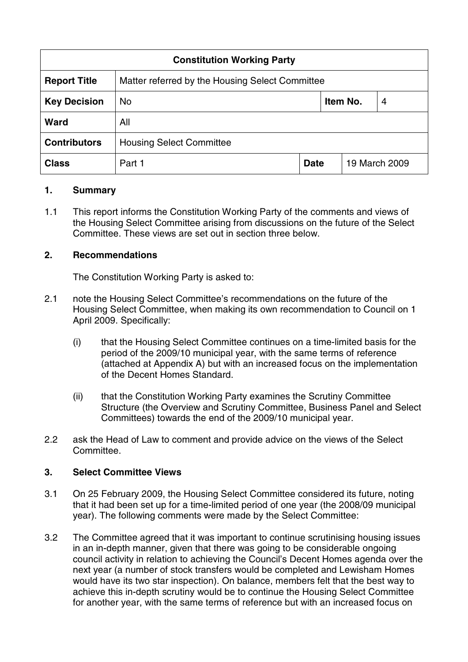| <b>Constitution Working Party</b> |                                                 |             |               |   |
|-----------------------------------|-------------------------------------------------|-------------|---------------|---|
| <b>Report Title</b>               | Matter referred by the Housing Select Committee |             |               |   |
| <b>Key Decision</b>               | <b>No</b>                                       | Item No.    |               | 4 |
| <b>Ward</b>                       | All                                             |             |               |   |
| <b>Contributors</b>               | <b>Housing Select Committee</b>                 |             |               |   |
| <b>Class</b>                      | Part 1                                          | <b>Date</b> | 19 March 2009 |   |

## **1. Summary**

1.1 This report informs the Constitution Working Party of the comments and views of the Housing Select Committee arising from discussions on the future of the Select Committee. These views are set out in section three below.

## **2. Recommendations**

The Constitution Working Party is asked to:

- 2.1 note the Housing Select Committee's recommendations on the future of the Housing Select Committee, when making its own recommendation to Council on 1 April 2009. Specifically:
	- (i) that the Housing Select Committee continues on a time-limited basis for the period of the 2009/10 municipal year, with the same terms of reference (attached at Appendix A) but with an increased focus on the implementation of the Decent Homes Standard.
	- (ii) that the Constitution Working Party examines the Scrutiny Committee Structure (the Overview and Scrutiny Committee, Business Panel and Select Committees) towards the end of the 2009/10 municipal year.
- 2.2 ask the Head of Law to comment and provide advice on the views of the Select Committee.

#### **3. Select Committee Views**

- 3.1 On 25 February 2009, the Housing Select Committee considered its future, noting that it had been set up for a time-limited period of one year (the 2008/09 municipal year). The following comments were made by the Select Committee:
- 3.2 The Committee agreed that it was important to continue scrutinising housing issues in an in-depth manner, given that there was going to be considerable ongoing council activity in relation to achieving the Council's Decent Homes agenda over the next year (a number of stock transfers would be completed and Lewisham Homes would have its two star inspection). On balance, members felt that the best way to achieve this in-depth scrutiny would be to continue the Housing Select Committee for another year, with the same terms of reference but with an increased focus on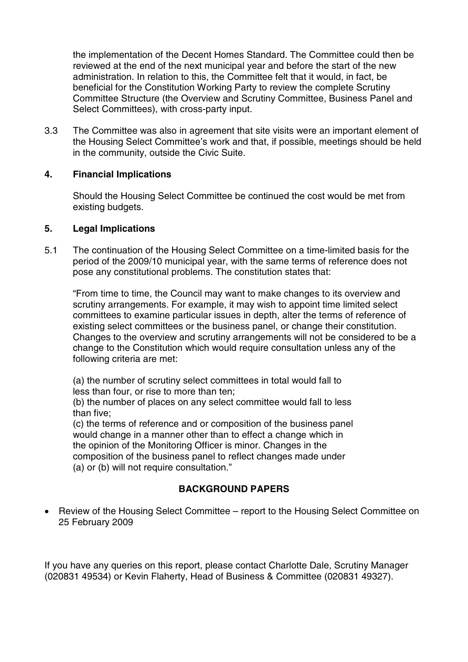the implementation of the Decent Homes Standard. The Committee could then be reviewed at the end of the next municipal year and before the start of the new administration. In relation to this, the Committee felt that it would, in fact, be beneficial for the Constitution Working Party to review the complete Scrutiny Committee Structure (the Overview and Scrutiny Committee, Business Panel and Select Committees), with cross-party input.

3.3 The Committee was also in agreement that site visits were an important element of the Housing Select Committee's work and that, if possible, meetings should be held in the community, outside the Civic Suite.

# **4. Financial Implications**

Should the Housing Select Committee be continued the cost would be met from existing budgets.

## **5. Legal Implications**

5.1 The continuation of the Housing Select Committee on a time-limited basis for the period of the 2009/10 municipal year, with the same terms of reference does not pose any constitutional problems. The constitution states that:

"From time to time, the Council may want to make changes to its overview and scrutiny arrangements. For example, it may wish to appoint time limited select committees to examine particular issues in depth, alter the terms of reference of existing select committees or the business panel, or change their constitution. Changes to the overview and scrutiny arrangements will not be considered to be a change to the Constitution which would require consultation unless any of the following criteria are met:

(a) the number of scrutiny select committees in total would fall to less than four, or rise to more than ten;

(b) the number of places on any select committee would fall to less than five;

(c) the terms of reference and or composition of the business panel would change in a manner other than to effect a change which in the opinion of the Monitoring Officer is minor. Changes in the composition of the business panel to reflect changes made under (a) or (b) will not require consultation."

## **BACKGROUND PAPERS**

• Review of the Housing Select Committee – report to the Housing Select Committee on 25 February 2009

If you have any queries on this report, please contact Charlotte Dale, Scrutiny Manager (020831 49534) or Kevin Flaherty, Head of Business & Committee (020831 49327).